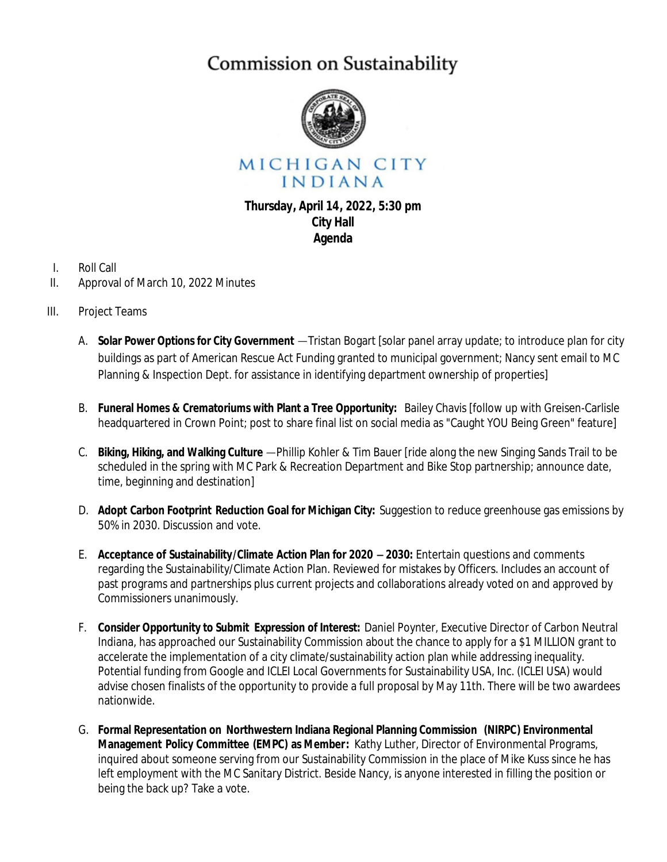## Commission on Sustainability



MICHIGAN CITY INDIANA

## **Thursday, April 14, 2022, 5:30 pm City Hall Agenda**

- I. Roll Call
- II. Approval of March 10, 2022 Minutes
- III. Project Teams
	- A. **Solar Power Options for City Government** —Tristan Bogart [solar panel array update; to introduce plan for city buildings as part of American Rescue Act Funding granted to municipal government; Nancy sent email to MC Planning & Inspection Dept. for assistance in identifying department ownership of properties]
	- B. **Funeral Homes & Crematoriums with Plant a Tree Opportunity:** Bailey Chavis [follow up with Greisen-Carlisle headquartered in Crown Point; post to share final list on social media as "Caught YOU Being Green" feature]
	- C. **Biking, Hiking, and Walking Culture** —Phillip Kohler & Tim Bauer [ride along the new Singing Sands Trail to be scheduled in the spring with MC Park & Recreation Department and Bike Stop partnership; announce date, time, beginning and destination]
	- D. **Adopt Carbon Footprint Reduction Goal for Michigan City:** Suggestion to reduce greenhouse gas emissions by 50% in 2030. Discussion and vote.
	- E. **Acceptance of Sustainability/Climate Action Plan for 2020** – **2030:** Entertain questions and comments regarding the Sustainability/Climate Action Plan. Reviewed for mistakes by Officers. Includes an account of past programs and partnerships plus current projects and collaborations already voted on and approved by Commissioners unanimously.
	- F. **Consider Opportunity to Submit Expression of Interest:** Daniel Poynter, Executive Director of Carbon Neutral Indiana, has approached our Sustainability Commission about the chance to apply for a \$1 MILLION grant to accelerate the implementation of a city climate/sustainability action plan while addressing inequality. Potential funding from Google and ICLEI Local Governments for Sustainability USA, Inc. (ICLEI USA) would advise chosen finalists of the opportunity to provide a full proposal by May 11th. There will be two awardees nationwide.
	- G. **Formal Representation on Northwestern Indiana Regional Planning Commission (NIRPC) Environmental Management Policy Committee (EMPC) as Member:** Kathy Luther, Director of Environmental Programs, inquired about someone serving from our Sustainability Commission in the place of Mike Kuss since he has left employment with the MC Sanitary District. Beside Nancy, is anyone interested in filling the position or being the back up? Take a vote.